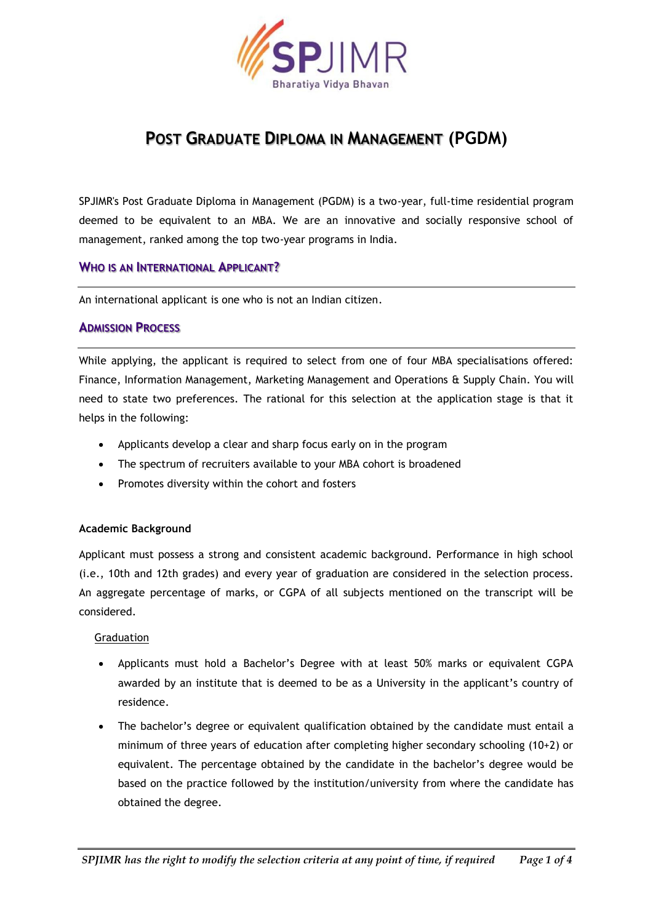

# **POST GRADUATE DIPLOMA IN MANAGEMENT (PGDM)**

SPJIMR's Post Graduate Diploma in Management (PGDM) is a two-year, full-time residential program deemed to be equivalent to an MBA. We are an innovative and socially responsive school of management, ranked among the top two-year programs in India.

# **WHO IS AN INTERNATIONAL APPLICANT?**

An international applicant is one who is not an Indian citizen.

# **ADMISSION PROCESS**

While applying, the applicant is required to select from one of four MBA specialisations offered: Finance, Information Management, Marketing Management and Operations & Supply Chain. You will need to state two preferences. The rational for this selection at the application stage is that it helps in the following:

- Applicants develop a clear and sharp focus early on in the program
- The spectrum of recruiters available to your MBA cohort is broadened
- Promotes diversity within the cohort and fosters

### **Academic Background**

Applicant must possess a strong and consistent academic background. Performance in high school (i.e., 10th and 12th grades) and every year of graduation are considered in the selection process. An aggregate percentage of marks, or CGPA of all subjects mentioned on the transcript will be considered.

### Graduation

- Applicants must hold a Bachelor's Degree with at least 50% marks or equivalent CGPA awarded by an institute that is deemed to be as a University in the applicant's country of residence.
- The bachelor's degree or equivalent qualification obtained by the candidate must entail a minimum of three years of education after completing higher secondary schooling (10+2) or equivalent. The percentage obtained by the candidate in the bachelor's degree would be based on the practice followed by the institution/university from where the candidate has obtained the degree.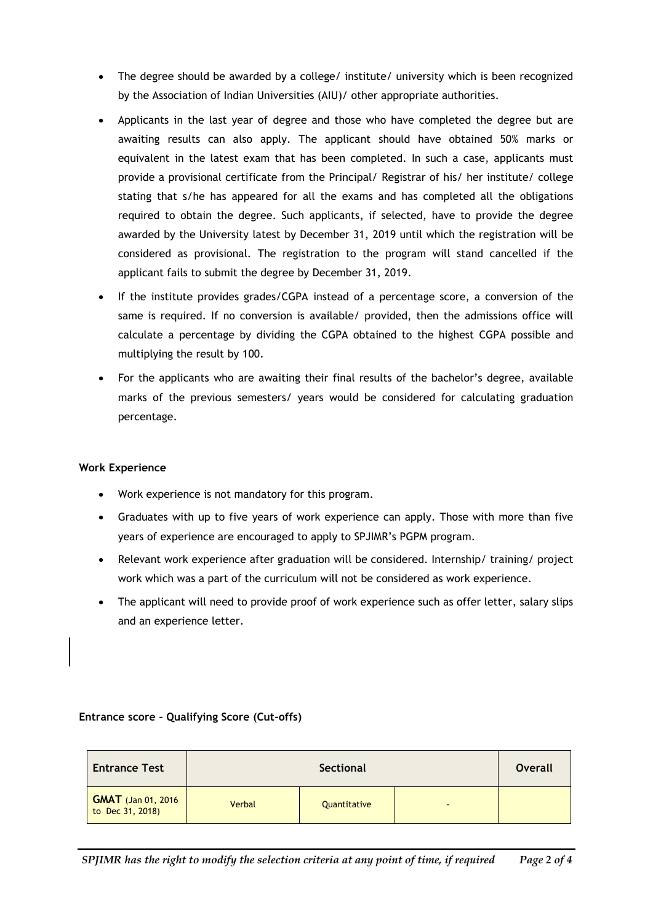- The degree should be awarded by a college/ institute/ university which is been recognized by the Association of Indian Universities (AIU)/ other appropriate authorities.
- Applicants in the last year of degree and those who have completed the degree but are awaiting results can also apply. The applicant should have obtained 50% marks or equivalent in the latest exam that has been completed. In such a case, applicants must provide a provisional certificate from the Principal/ Registrar of his/ her institute/ college stating that s/he has appeared for all the exams and has completed all the obligations required to obtain the degree. Such applicants, if selected, have to provide the degree awarded by the University latest by December 31, 2019 until which the registration will be considered as provisional. The registration to the program will stand cancelled if the applicant fails to submit the degree by December 31, 2019.
- If the institute provides grades/CGPA instead of a percentage score, a conversion of the same is required. If no conversion is available/ provided, then the admissions office will calculate a percentage by dividing the CGPA obtained to the highest CGPA possible and multiplying the result by 100.
- For the applicants who are awaiting their final results of the bachelor's degree, available marks of the previous semesters/ years would be considered for calculating graduation percentage.

### **Work Experience**

- Work experience is not mandatory for this program.
- Graduates with up to five years of work experience can apply. Those with more than five years of experience are encouraged to apply to SPJIMR's PGPM program.
- Relevant work experience after graduation will be considered. Internship/ training/ project work which was a part of the curriculum will not be considered as work experience.
- The applicant will need to provide proof of work experience such as offer letter, salary slips and an experience letter.

| <b>Entrance Test</b>       | Sectional |              |        | <b>Overall</b> |
|----------------------------|-----------|--------------|--------|----------------|
| <b>GMAT</b> (Jan 01, 2016) | Verbal    | Quantitative | $\sim$ |                |

### **Entrance score - Qualifying Score (Cut-offs)**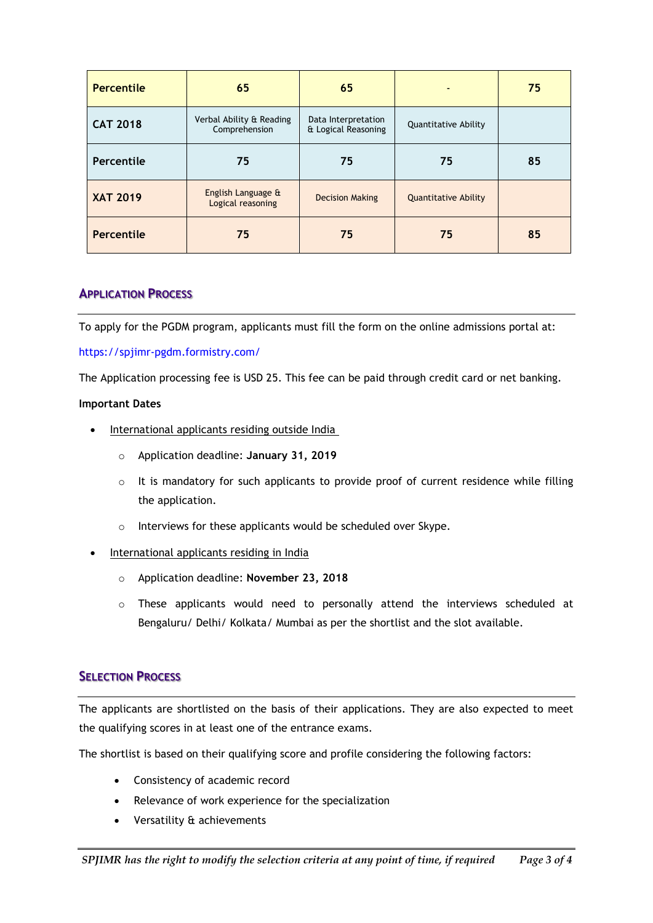| <b>Percentile</b> | 65                                        | 65                                         |                             | 75 |
|-------------------|-------------------------------------------|--------------------------------------------|-----------------------------|----|
| <b>CAT 2018</b>   | Verbal Ability & Reading<br>Comprehension | Data Interpretation<br>& Logical Reasoning | Quantitative Ability        |    |
| Percentile        | 75                                        | 75                                         | 75                          | 85 |
| <b>XAT 2019</b>   | English Language &<br>Logical reasoning   | <b>Decision Making</b>                     | <b>Quantitative Ability</b> |    |
| Percentile        | 75                                        | 75                                         | 75                          | 85 |

# **APPLICATION PROCESS**

To apply for the PGDM program, applicants must fill the form on the online admissions portal at:

### https://spjimr-pgdm.formistry.com/

The Application processing fee is USD 25. This fee can be paid through credit card or net banking.

### **Important Dates**

- International applicants residing outside India
	- o Application deadline: **January 31, 2019**
	- o It is mandatory for such applicants to provide proof of current residence while filling the application.
	- o Interviews for these applicants would be scheduled over Skype.
- International applicants residing in India
	- o Application deadline: **November 23, 2018**
	- o These applicants would need to personally attend the interviews scheduled at Bengaluru/ Delhi/ Kolkata/ Mumbai as per the shortlist and the slot available.

# **SELECTION PROCESS**

The applicants are shortlisted on the basis of their applications. They are also expected to meet the qualifying scores in at least one of the entrance exams.

The shortlist is based on their qualifying score and profile considering the following factors:

- Consistency of academic record
- Relevance of work experience for the specialization
- Versatility & achievements